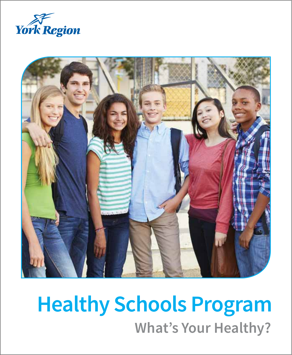



# **What's Your Healthy? Healthy Schools Program**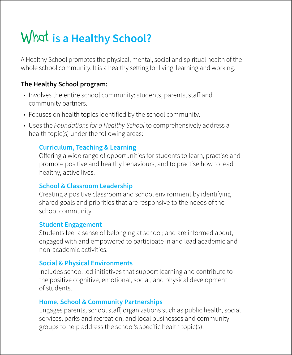## What **is a Healthy School?**

A Healthy School promotes the physical, mental, social and spiritual health of the whole school community. It is a healthy setting for living, learning and working.

### **The Healthy School program:**

- Involves the entire school community: students, parents, staff and community partners.
- Focuses on health topics identified by the school community.
- • Uses the *Foundations for a Healthy School* to comprehensively address a health topic(s) under the following areas:

### **Curriculum, Teaching & Learning**

Offering a wide range of opportunities for students to learn, practise and promote positive and healthy behaviours, and to practise how to lead healthy, active lives.

### **School & Classroom Leadership**

Creating a positive classroom and school environment by identifying shared goals and priorities that are responsive to the needs of the school community.

### **Student Engagement**

Students feel a sense of belonging at school; and are informed about, engaged with and empowered to participate in and lead academic and non-academic activities.

### **Social & Physical Environments**

Includes school led initiatives that support learning and contribute to the positive cognitive, emotional, social, and physical development of students.

### **Home, School & Community Partnerships**

Engages parents, school staff, organizations such as public health, social services, parks and recreation, and local businesses and community groups to help address the school's specific health topic(s).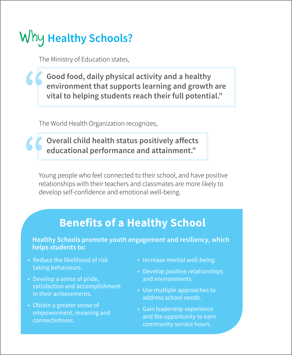## **Why Healthy Schools?**

The Ministry of Education states,

**Good food, daily physical activity and a healthy environment that supports learning and growth are vital to helping students reach their full potential."**

The World Health Organization recognizes,

**Overall child health status positively affects educational performance and attainment."**

Young people who feel connected to their school, and have positive relationships with their teachers and classmates are more likely to develop self-confidence and emotional well-being.

### **Benefits of a Healthy School**

**Healthy Schools promote youth engagement and resiliency, which helps students to:**

- Reduce the likelihood of risk taking behaviours.
- Develop a sense of pride, satisfaction and accomplishment in their achievements.
- Obtain a greater sense of empowerment, meaning and connectedness.
- Increase mental well-being.
- Develop positive relationships and environments.
- Use multiple approaches to address school needs.
- Gain leadership experience and the opportunity to earn community service hours.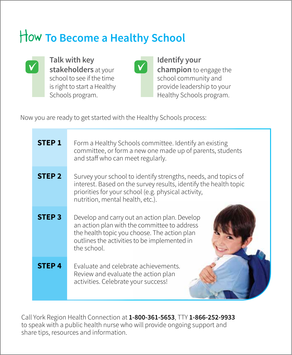## How **To Become a Healthy School**



**Talk with key stakeholders** at your school to see if the time is right to start a Healthy Schools program.



**Identify your champion** to engage the school community and provide leadership to your Healthy Schools program.

Now you are ready to get started with the Healthy Schools process:

| <b>STEP 1</b>     | Form a Healthy Schools committee. Identify an existing<br>committee, or form a new one made up of parents, students<br>and staff who can meet regularly.                                                                      |
|-------------------|-------------------------------------------------------------------------------------------------------------------------------------------------------------------------------------------------------------------------------|
| STEP <sub>2</sub> | Survey your school to identify strengths, needs, and topics of<br>interest. Based on the survey results, identify the health topic<br>priorities for your school (e.g. physical activity,<br>nutrition, mental health, etc.). |
| <b>STEP 3</b>     | Develop and carry out an action plan. Develop<br>an action plan with the committee to address<br>the health topic you choose. The action plan<br>outlines the activities to be implemented in<br>the school.                  |
| STEP <sub>4</sub> | Evaluate and celebrate achievements.<br>Review and evaluate the action plan<br>activities. Celebrate your success!                                                                                                            |

Call York Region Health Connection at **1-800-361-5653**, TTY **1-866-252-9933** to speak with a public health nurse who will provide ongoing support and share tips, resources and information.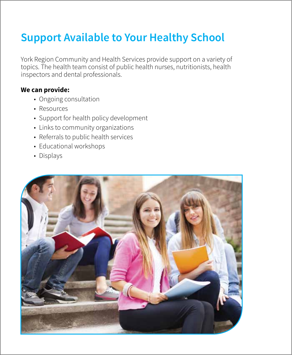### **Support Available to Your Healthy School**

York Region Community and Health Services provide support on a variety of topics. The health team consist of public health nurses, nutritionists, health inspectors and dental professionals.

#### **We can provide:**

- Ongoing consultation
- Resources
- Support for health policy development
- Links to community organizations
- Referrals to public health services
- Educational workshops
- Displays

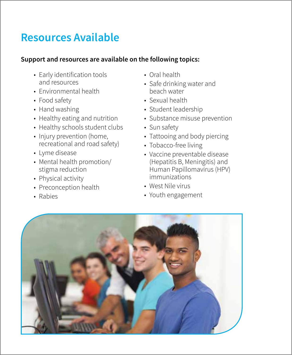### **Resources Available**

### **Support and resources are available on the following topics:**

- Early identification tools and resources
- Environmental health
- Food safety
- Hand washing
- Healthy eating and nutrition
- Healthy schools student clubs
- Injury prevention (home, recreational and road safety)
- Lyme disease
- Mental health promotion/ stigma reduction
- Physical activity
- Preconception health
- • Rabies
- Oral health
- Safe drinking water and beach water
- Sexual health
- • Student leadership
- Substance misuse prevention
- Sun safety
- Tattooing and body piercing
- Tobacco-free living
- Vaccine preventable disease (Hepatitis B, Meningitis) and Human Papillomavirus (HPV) immunizations
- West Nile virus
- Youth engagement